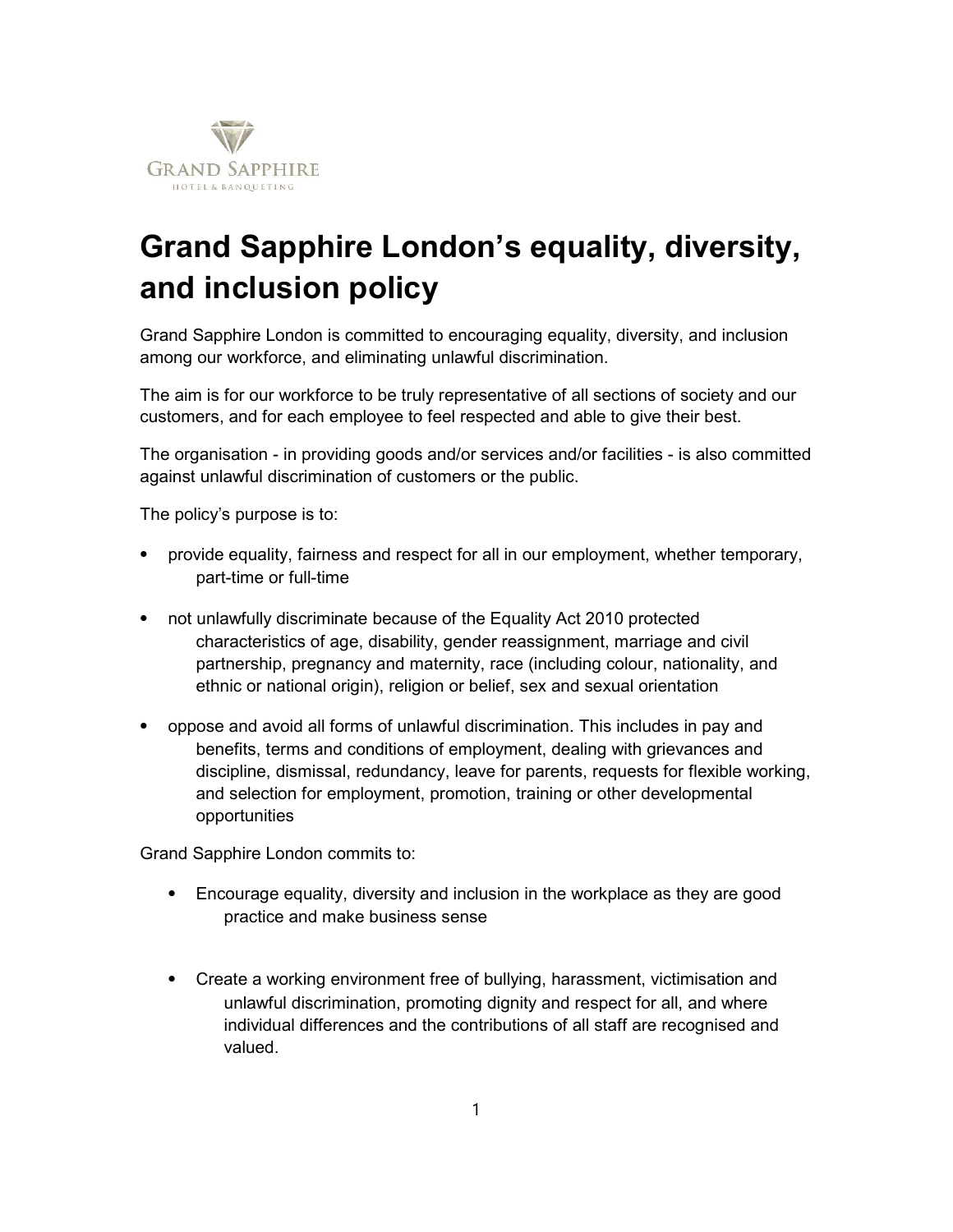

## Grand Sapphire London's equality, diversity, and inclusion policy

Grand Sapphire London is committed to encouraging equality, diversity, and inclusion among our workforce, and eliminating unlawful discrimination.

The aim is for our workforce to be truly representative of all sections of society and our customers, and for each employee to feel respected and able to give their best.

The organisation - in providing goods and/or services and/or facilities - is also committed against unlawful discrimination of customers or the public.

The policy's purpose is to:

- ⦁ provide equality, fairness and respect for all in our employment, whether temporary, part-time or full-time
- ⦁ not unlawfully discriminate because of the Equality Act 2010 protected characteristics of age, disability, gender reassignment, marriage and civil partnership, pregnancy and maternity, race (including colour, nationality, and ethnic or national origin), religion or belief, sex and sexual orientation
- ⦁ oppose and avoid all forms of unlawful discrimination. This includes in pay and benefits, terms and conditions of employment, dealing with grievances and discipline, dismissal, redundancy, leave for parents, requests for flexible working, and selection for employment, promotion, training or other developmental opportunities

Grand Sapphire London commits to:

- ⦁ Encourage equality, diversity and inclusion in the workplace as they are good practice and make business sense
- ⦁ Create a working environment free of bullying, harassment, victimisation and unlawful discrimination, promoting dignity and respect for all, and where individual differences and the contributions of all staff are recognised and valued.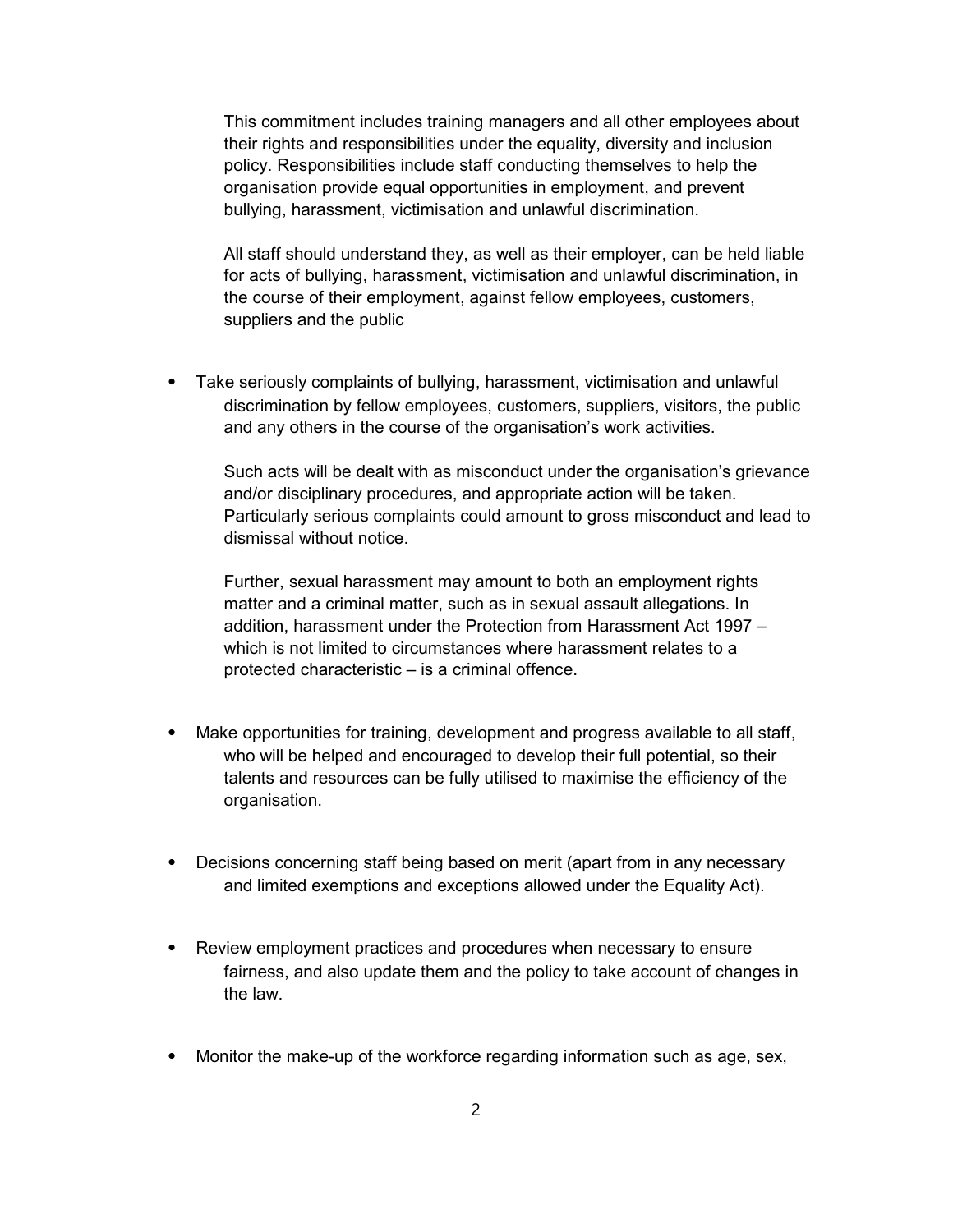This commitment includes training managers and all other employees about their rights and responsibilities under the equality, diversity and inclusion policy. Responsibilities include staff conducting themselves to help the organisation provide equal opportunities in employment, and prevent bullying, harassment, victimisation and unlawful discrimination.

All staff should understand they, as well as their employer, can be held liable for acts of bullying, harassment, victimisation and unlawful discrimination, in the course of their employment, against fellow employees, customers, suppliers and the public

⦁ Take seriously complaints of bullying, harassment, victimisation and unlawful discrimination by fellow employees, customers, suppliers, visitors, the public and any others in the course of the organisation's work activities.

Such acts will be dealt with as misconduct under the organisation's grievance and/or disciplinary procedures, and appropriate action will be taken. Particularly serious complaints could amount to gross misconduct and lead to dismissal without notice.

Further, sexual harassment may amount to both an employment rights matter and a criminal matter, such as in sexual assault allegations. In addition, harassment under the Protection from Harassment Act 1997 – which is not limited to circumstances where harassment relates to a protected characteristic – is a criminal offence.

- Make opportunities for training, development and progress available to all staff, who will be helped and encouraged to develop their full potential, so their talents and resources can be fully utilised to maximise the efficiency of the organisation.
- Decisions concerning staff being based on merit (apart from in any necessary and limited exemptions and exceptions allowed under the Equality Act).
- ⦁ Review employment practices and procedures when necessary to ensure fairness, and also update them and the policy to take account of changes in the law.
- ⦁ Monitor the make-up of the workforce regarding information such as age, sex,